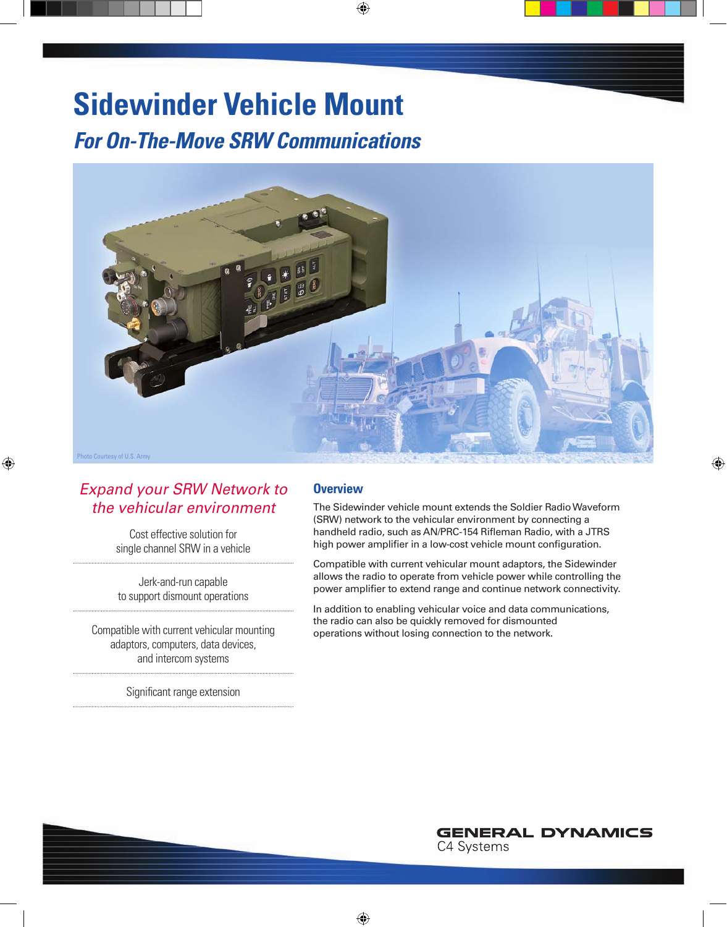# **Sidewinder Vehicle Mount**

*For On-The-Move SRW Communications*



### *Expand your SRW Network to the vehicular environment*

Cost effective solution for single channel SRW in a vehicle

Jerk-and-run capable to support dismount operations

Compatible with current vehicular mounting adaptors, computers, data devices, and intercom systems

Significant range extension

### **Overview**

The Sidewinder vehicle mount extends the Soldier Radio Waveform (SRW) network to the vehicular environment by connecting a handheld radio, such as AN/PRC-154 Rifleman Radio, with a JTRS high power amplifier in a low-cost vehicle mount configuration.

Compatible with current vehicular mount adaptors, the Sidewinder allows the radio to operate from vehicle power while controlling the power amplifier to extend range and continue network connectivity.

In addition to enabling vehicular voice and data communications, the radio can also be quickly removed for dismounted operations without losing connection to the network.